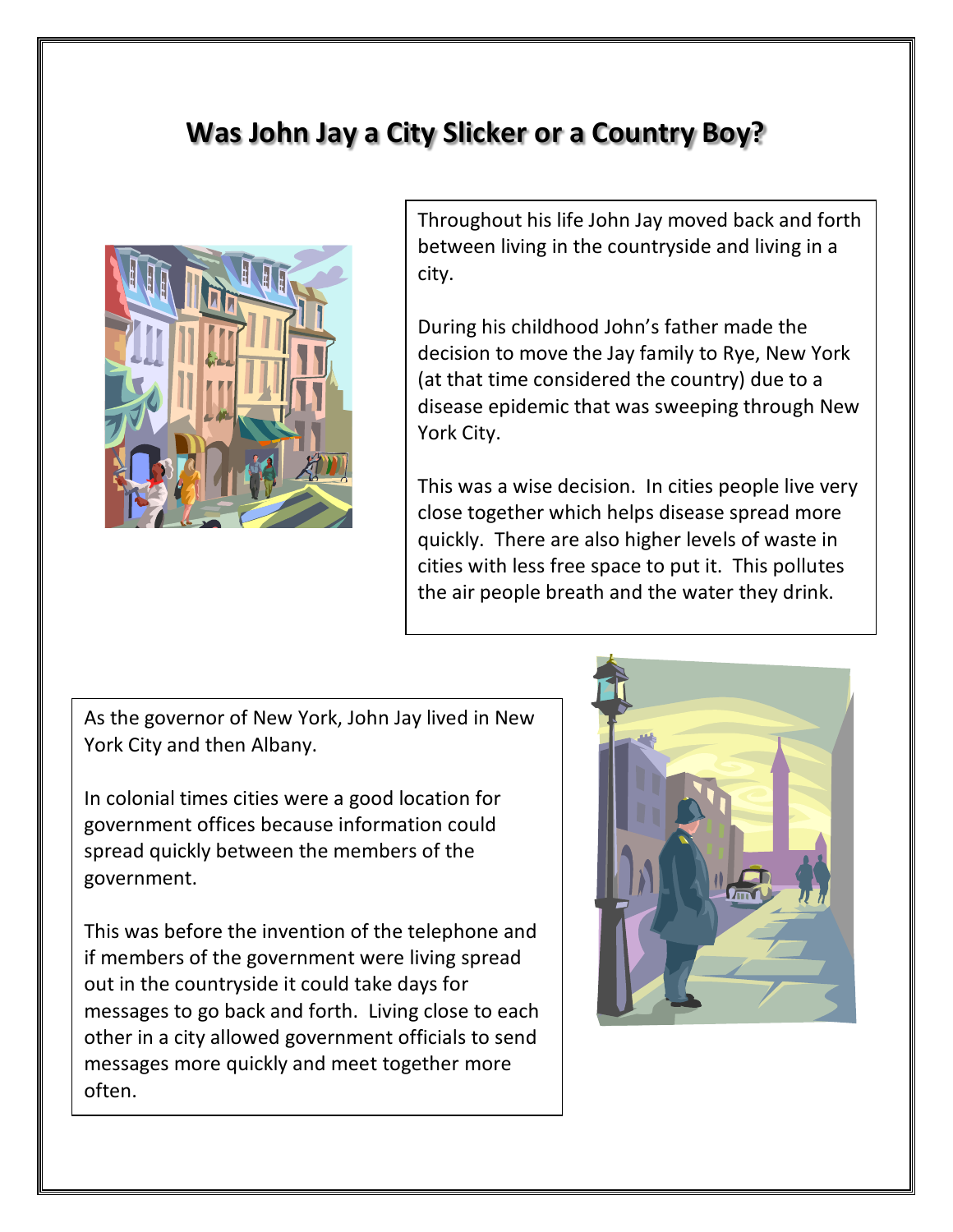## **Was John Jay a City Slicker or a Country Boy?**



Throughout his life John Jay moved back and forth between living in the countryside and living in a city.

During his childhood John's father made the decision to move the Jay family to Rye, New York (at that time considered the country) due to a disease epidemic that was sweeping through New York City.

This was a wise decision. In cities people live very close together which helps disease spread more quickly. There are also higher levels of waste in cities with less free space to put it. This pollutes the air people breath and the water they drink.

As the governor of New York, John Jay lived in New York City and then Albany.

In colonial times cities were a good location for government offices because information could spread quickly between the members of the government.

This was before the invention of the telephone and if members of the government were living spread out in the countryside it could take days for messages to go back and forth. Living close to each other in a city allowed government officials to send messages more quickly and meet together more often.